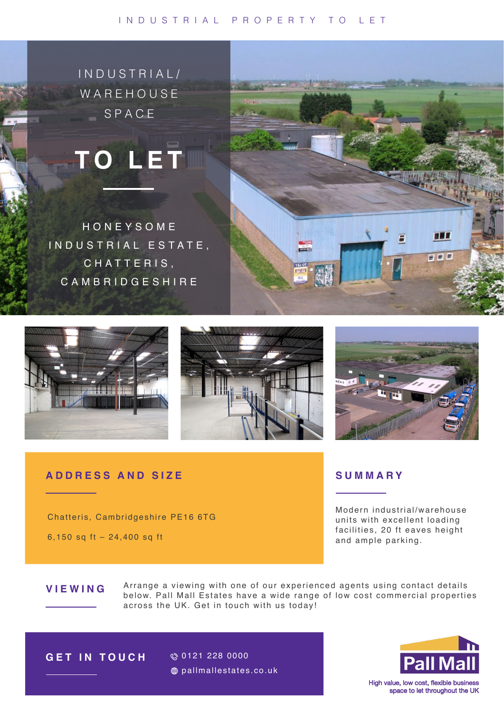#### INDUSTRIAL PROPERTY TO LET



# HONEYSOME INDUSTRIAL ESTATE, CHATTERIS, CAMBRIDGESHIRE







**HEE** 

■ ■ ■

### ADDRESS AND SIZE

Chatteris, Cambridgeshire PE16 6TG

6,150 sq ft - 24,400 sq ft

## SUMMARY

Modern industrial/warehouse units with excellent loading facilities, 20 ft eaves height and ample parking.

# VIEWING

Arrange a viewing with one of our experienced agents using contact details below. Pall Mall Estates have a wide range of low cost commercial properties across the UK. Get in touch with us today!

**POLICE** 



**Pall Mall** 

High value, low cost, flexible business space to let throughout the UK